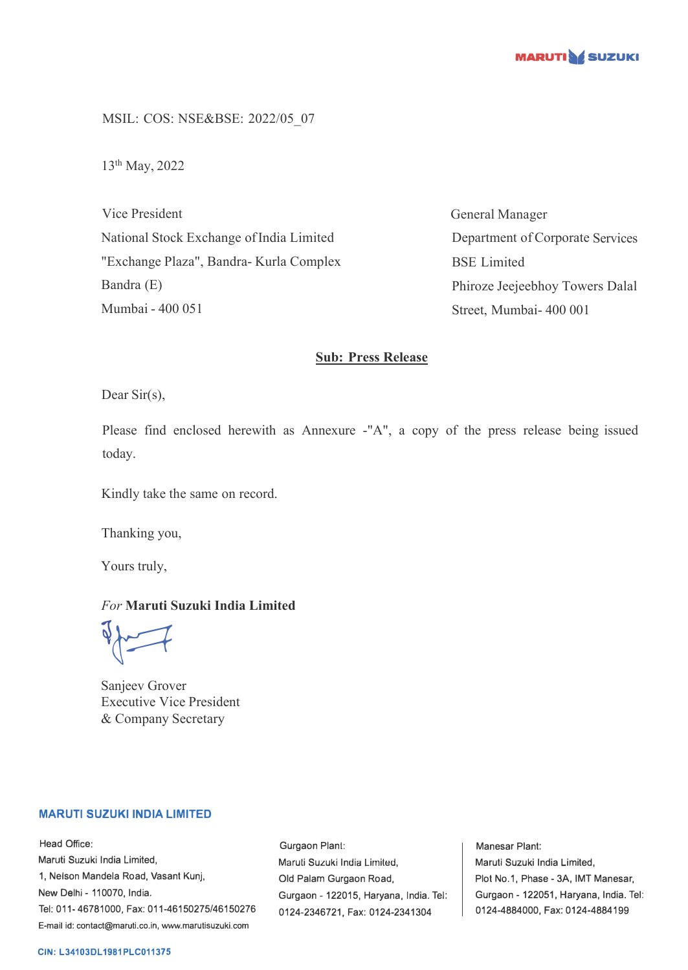

MSIL: COS: NSE&BSE: 2022/05\_07

13th May, 2022

Vice President National Stock Exchange of India Limited "Exchange Plaza", Bandra- Kurla Complex Bandra (E) Mumbai - 400 051

General Manager Department of Corporate Services BSE Limited Phiroze Jeejeebhoy Towers Dalal Street, Mumbai- 400 001

### **Sub: Press Release**

Dear Sir(s),

Please find enclosed herewith as Annexure -"A", a copy of the press release being issued today.

Kindly take the same on record.

Thanking you,

Yours truly,

## *For* **Maruti Suzuki India Limited**

 $\sqrt{2}$ 

Sanjeev Grover Executive Vice President & Company Secretary

#### **MARUTI SUZUKI INDIA LIMITED**

Head Office: Maruti Suzuki India Limited, 1, Nelson Mandela Road, Vasant Kunj, New Delhi - 110070, India. Tel: 011-46781000, Fax: 011-46150275/46150276 E-mail id: contact@maruti.co.in, www.marutisuzuki.com

Gurgaon Plant: Maruli Suzuki India Lirniled, Old Palam Gurgaon Road, Gurgaon - 122015, Haryana, India. Tel: 0124-2346721, Fax: 0124-2341304

Manesar Plant: Maruti Suzuki India Limited, Plot No.1, Phase - 3A, IMT Manesar, Gurgaon - 122051, Haryana, India. Tel: 0124-4884000, Fax: 0124-4884199

#### **CIN: L34103DL1981PLC011375**